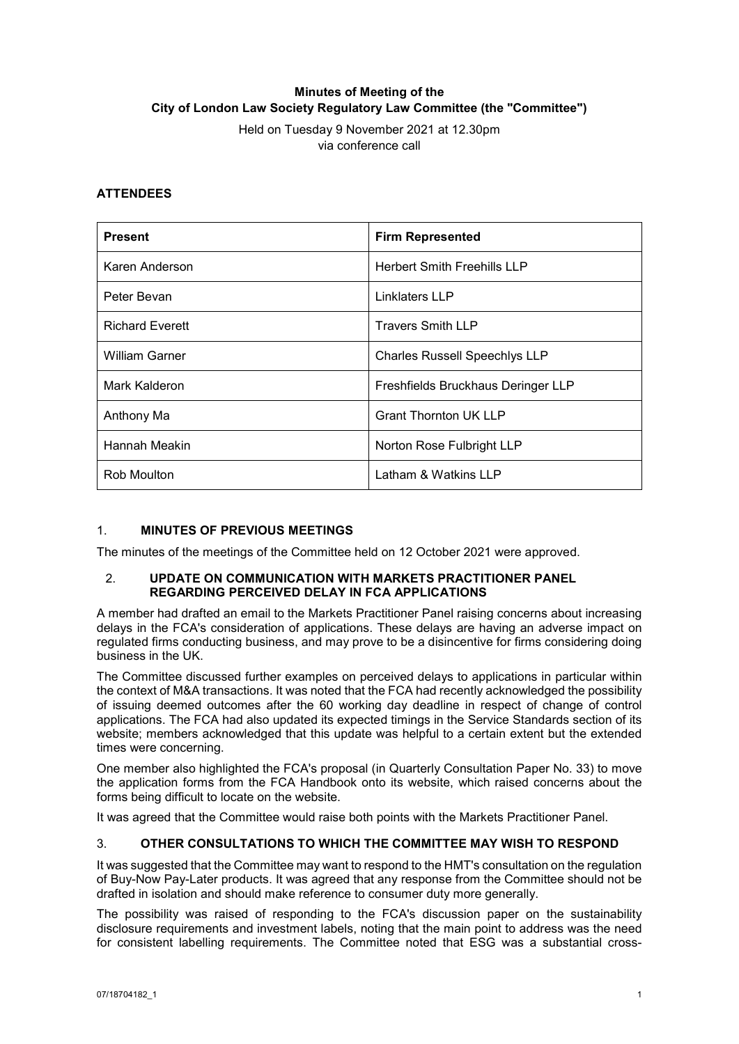# **Minutes of Meeting of the City of London Law Society Regulatory Law Committee (the "Committee")**

Held on Tuesday 9 November 2021 at 12.30pm via conference call

## **ATTENDEES**

| <b>Present</b>         | <b>Firm Represented</b>              |
|------------------------|--------------------------------------|
| Karen Anderson         | <b>Herbert Smith Freehills LLP</b>   |
| Peter Bevan            | Linklaters LLP                       |
| <b>Richard Everett</b> | <b>Travers Smith LLP</b>             |
| <b>William Garner</b>  | <b>Charles Russell Speechlys LLP</b> |
| Mark Kalderon          | Freshfields Bruckhaus Deringer LLP   |
| Anthony Ma             | <b>Grant Thornton UK LLP</b>         |
| Hannah Meakin          | Norton Rose Fulbright LLP            |
| Rob Moulton            | Latham & Watkins LLP                 |

## 1. **MINUTES OF PREVIOUS MEETINGS**

The minutes of the meetings of the Committee held on 12 October 2021 were approved.

#### 2. **UPDATE ON COMMUNICATION WITH MARKETS PRACTITIONER PANEL REGARDING PERCEIVED DELAY IN FCA APPLICATIONS**

A member had drafted an email to the Markets Practitioner Panel raising concerns about increasing delays in the FCA's consideration of applications. These delays are having an adverse impact on regulated firms conducting business, and may prove to be a disincentive for firms considering doing business in the UK.

The Committee discussed further examples on perceived delays to applications in particular within the context of M&A transactions. It was noted that the FCA had recently acknowledged the possibility of issuing deemed outcomes after the 60 working day deadline in respect of change of control applications. The FCA had also updated its expected timings in the Service Standards section of its website; members acknowledged that this update was helpful to a certain extent but the extended times were concerning.

One member also highlighted the FCA's proposal (in Quarterly Consultation Paper No. 33) to move the application forms from the FCA Handbook onto its website, which raised concerns about the forms being difficult to locate on the website.

It was agreed that the Committee would raise both points with the Markets Practitioner Panel.

### 3. **OTHER CONSULTATIONS TO WHICH THE COMMITTEE MAY WISH TO RESPOND**

It was suggested that the Committee may want to respond to the HMT's consultation on the regulation of Buy-Now Pay-Later products. It was agreed that any response from the Committee should not be drafted in isolation and should make reference to consumer duty more generally.

The possibility was raised of responding to the FCA's discussion paper on the sustainability disclosure requirements and investment labels, noting that the main point to address was the need for consistent labelling requirements. The Committee noted that ESG was a substantial cross-